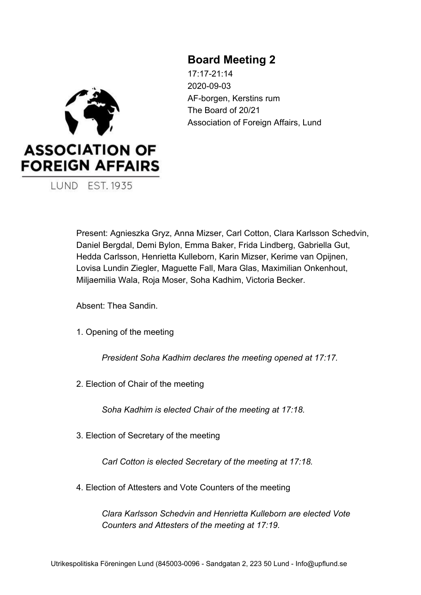# **Board Meeting 2**

17:17-21:14 2020-09-03 AF-borgen, Kerstins rum The Board of 20/21 Association of Foreign Affairs, Lund



Present: Agnieszka Gryz, Anna Mizser, Carl Cotton, Clara Karlsson Schedvin, Daniel Bergdal, Demi Bylon, Emma Baker, Frida Lindberg, Gabriella Gut, Hedda Carlsson, Henrietta Kulleborn, Karin Mizser, Kerime van Opijnen, Lovisa Lundin Ziegler, Maguette Fall, Mara Glas, Maximilian Onkenhout, Miljaemilia Wala, Roja Moser, Soha Kadhim, Victoria Becker.

Absent: Thea Sandin.

1. Opening of the meeting

*President Soha Kadhim declares the meeting opened at 17:17.*

2. Election of Chair of the meeting

*Soha Kadhim is elected Chair of the meeting at 17:18.*

3. Election of Secretary of the meeting

*Carl Cotton is elected Secretary of the meeting at 17:18.*

4. Election of Attesters and Vote Counters of the meeting

*Clara Karlsson Schedvin and Henrietta Kulleborn are elected Vote Counters and Attesters of the meeting at 17:19.*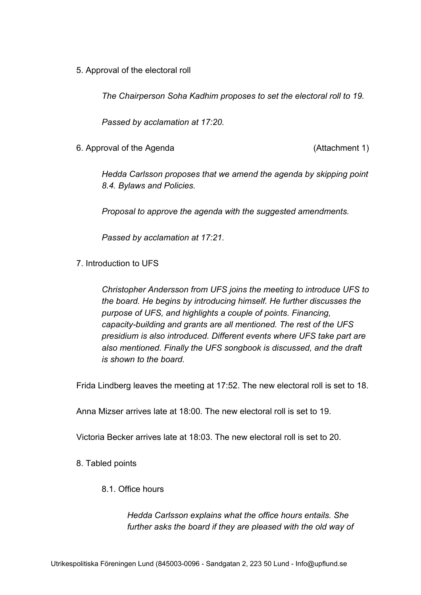5. Approval of the electoral roll

*The Chairperson Soha Kadhim proposes to set the electoral roll to 19.*

*Passed by acclamation at 17:20.*

6. Approval of the Agenda (Attachment 1)

*Hedda Carlsson proposes that we amend the agenda by skipping point 8.4. Bylaws and Policies.*

*Proposal to approve the agenda with the suggested amendments.*

*Passed by acclamation at 17:21.*

7. Introduction to UFS

*Christopher Andersson from UFS joins the meeting to introduce UFS to the board. He begins by introducing himself. He further discusses the purpose of UFS, and highlights a couple of points. Financing, capacity-building and grants are all mentioned. The rest of the UFS presidium is also introduced. Different events where UFS take part are also mentioned. Finally the UFS songbook is discussed, and the draft is shown to the board.*

Frida Lindberg leaves the meeting at 17:52. The new electoral roll is set to 18.

Anna Mizser arrives late at 18:00. The new electoral roll is set to 19.

Victoria Becker arrives late at 18:03. The new electoral roll is set to 20.

8. Tabled points

# 8.1. Office hours

*Hedda Carlsson explains what the office hours entails. She further asks the board if they are pleased with the old way of*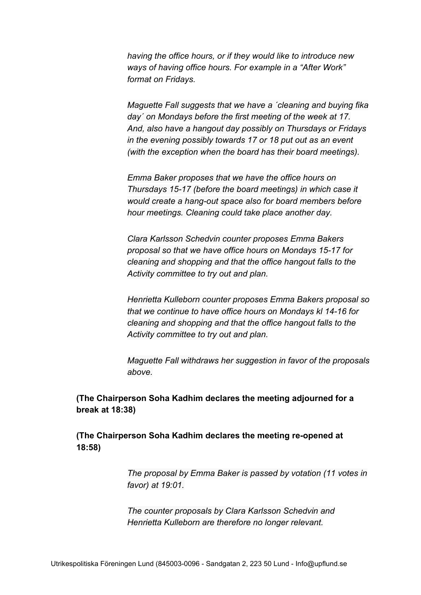*having the office hours, or if they would like to introduce new ways of having office hours. For example in a "After Work" format on Fridays.*

*Maguette Fall suggests that we have a ´cleaning and buying fika day´ on Mondays before the first meeting of the week at 17. And, also have a hangout day possibly on Thursdays or Fridays in the evening possibly towards 17 or 18 put out as an event (with the exception when the board has their board meetings).*

*Emma Baker proposes that we have the office hours on Thursdays 15-17 (before the board meetings) in which case it would create a hang-out space also for board members before hour meetings. Cleaning could take place another day.*

*Clara Karlsson Schedvin counter proposes Emma Bakers proposal so that we have office hours on Mondays 15-17 for cleaning and shopping and that the office hangout falls to the Activity committee to try out and plan.*

*Henrietta Kulleborn counter proposes Emma Bakers proposal so that we continue to have office hours on Mondays kl 14-16 for cleaning and shopping and that the office hangout falls to the Activity committee to try out and plan.*

*Maguette Fall withdraws her suggestion in favor of the proposals above.*

**(The Chairperson Soha Kadhim declares the meeting adjourned for a break at 18:38)**

**(The Chairperson Soha Kadhim declares the meeting re-opened at 18:58)**

> *The proposal by Emma Baker is passed by votation (11 votes in favor) at 19:01.*

*The counter proposals by Clara Karlsson Schedvin and Henrietta Kulleborn are therefore no longer relevant.*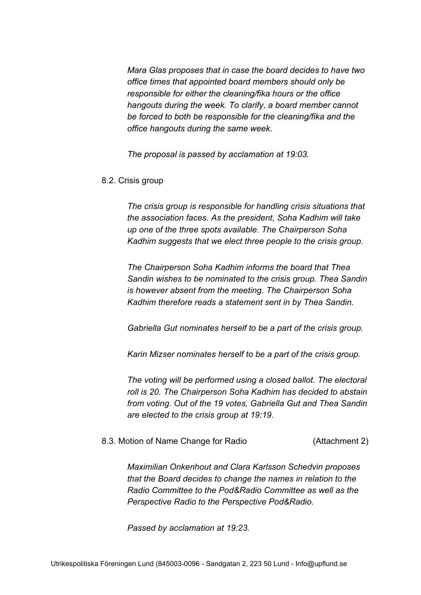*Mara Glas proposes that in case the board decides to have two office times that appointed board members should only be responsible for either the cleaning/fika hours or the office hangouts during the week. To clarify, a board member cannot be forced to both be responsible for the cleaning/fika and the office hangouts during the same week.*

*The proposal is passed by acclamation at 19:03.*

#### 8.2. Crisis group

*The crisis group is responsible for handling crisis situations that the association faces. As the president, Soha Kadhim will take up one of the three spots available. The Chairperson Soha Kadhim suggests that we elect three people to the crisis group.*

*The Chairperson Soha Kadhim informs the board that Thea Sandin wishes to be nominated to the crisis group. Thea Sandin is however absent from the meeting. The Chairperson Soha Kadhim therefore reads a statement sent in by Thea Sandin.*

*Gabriella Gut nominates herself to be a part of the crisis group.*

*Karin Mizser nominates herself to be a part of the crisis group.*

*The voting will be performed using a closed ballot. The electoral roll is 20. The Chairperson Soha Kadhim has decided to abstain from voting. Out of the 19 votes, Gabriella Gut and Thea Sandin are elected to the crisis group at 19:19.*

#### 8.3. Motion of Name Change for Radio (Attachment 2)

*Maximilian Onkenhout and Clara Karlsson Schedvin proposes that the Board decides to change the names in relation to the Radio Committee to the Pod&Radio Committee as well as the Perspective Radio to the Perspective Pod&Radio.*

*Passed by acclamation at 19:23.*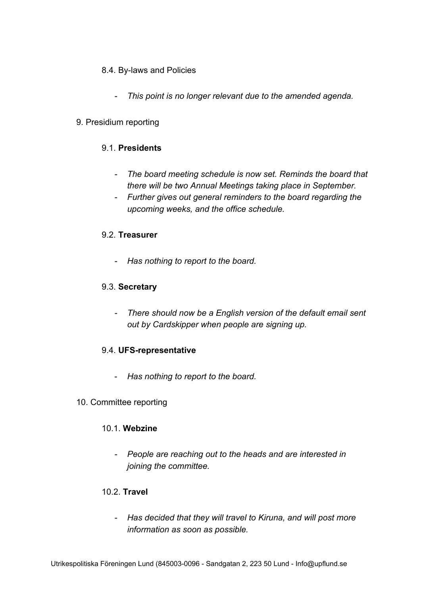- 8.4. By-laws and Policies
	- *- This point is no longer relevant due to the amended agenda.*

# 9. Presidium reporting

# 9.1. **Presidents**

- *- The board meeting schedule is now set. Reminds the board that there will be two Annual Meetings taking place in September.*
- *- Further gives out general reminders to the board regarding the upcoming weeks, and the office schedule.*

# 9.2. **Treasurer**

*- Has nothing to report to the board.*

# 9.3. **Secretary**

*- There should now be a English version of the default email sent out by Cardskipper when people are signing up.*

# 9.4. **UFS-representative**

- *Has nothing to report to the board.*
- 10. Committee reporting

# 10.1. **Webzine**

*- People are reaching out to the heads and are interested in joining the committee.*

# 10.2. **Travel**

*- Has decided that they will travel to Kiruna, and will post more information as soon as possible.*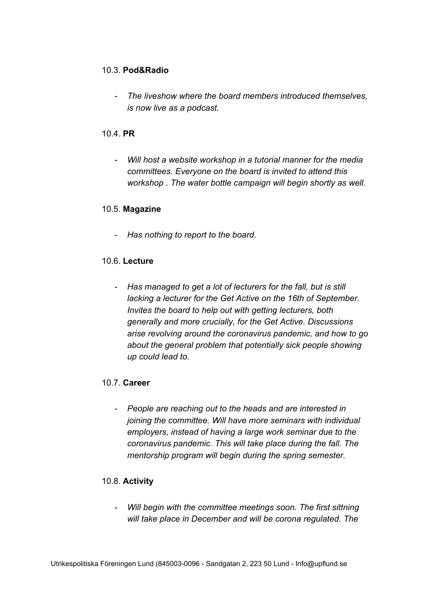# 10.3. **Pod&Radio**

*- The liveshow where the board members introduced themselves, is now live as a podcast.*

# 10.4. **PR**

*- Will host a website workshop in a tutorial manner for the media committees. Everyone on the board is invited to attend this workshop . The water bottle campaign will begin shortly as well.*

# 10.5. **Magazine**

- *Has nothing to report to the board.*

# 10.6. **Lecture**

*- Has managed to get a lot of lecturers for the fall, but is still lacking a lecturer for the Get Active on the 16th of September. Invites the board to help out with getting lecturers, both generally and more crucially, for the Get Active. Discussions arise revolving around the coronavirus pandemic, and how to go about the general problem that potentially sick people showing up could lead to.*

# 10.7. **Career**

- *People are reaching out to the heads and are interested in joining the committee. Will have more seminars with individual employers, instead of having a large work seminar due to the coronavirus pandemic. This will take place during the fall. The mentorship program will begin during the spring semester.*

# 10.8. **Activity**

*- Will begin with the committee meetings soon. The first sittning will take place in December and will be corona regulated. The*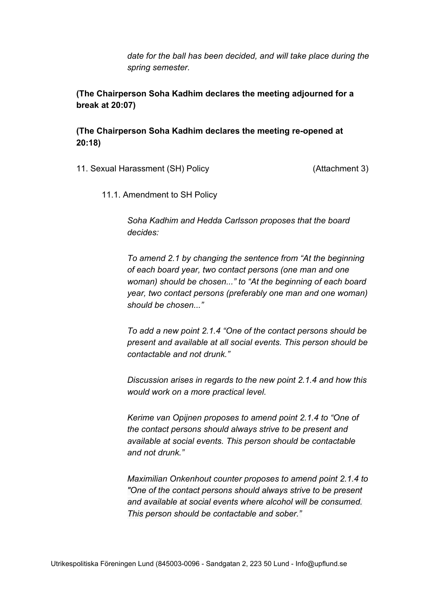*date for the ball has been decided, and will take place during the spring semester.*

**(The Chairperson Soha Kadhim declares the meeting adjourned for a break at 20:07)**

**(The Chairperson Soha Kadhim declares the meeting re-opened at 20:18)**

11. Sexual Harassment (SH) Policy (Attachment 3)

11.1. Amendment to SH Policy

*Soha Kadhim and Hedda Carlsson proposes that the board decides:*

*To amend 2.1 by changing the sentence from "At the beginning of each board year, two contact persons (one man and one woman) should be chosen..." to "At the beginning of each board year, two contact persons (preferably one man and one woman) should be chosen..."*

*To add a new point 2.1.4 "One of the contact persons should be present and available at all social events. This person should be contactable and not drunk."*

*Discussion arises in regards to the new point 2.1.4 and how this would work on a more practical level.*

*Kerime van Opijnen proposes to amend point 2.1.4 to "One of the contact persons should always strive to be present and available at social events. This person should be contactable and not drunk."*

*Maximilian Onkenhout counter proposes to amend point 2.1.4 to "One of the contact persons should always strive to be present and available at social events where alcohol will be consumed. This person should be contactable and sober."*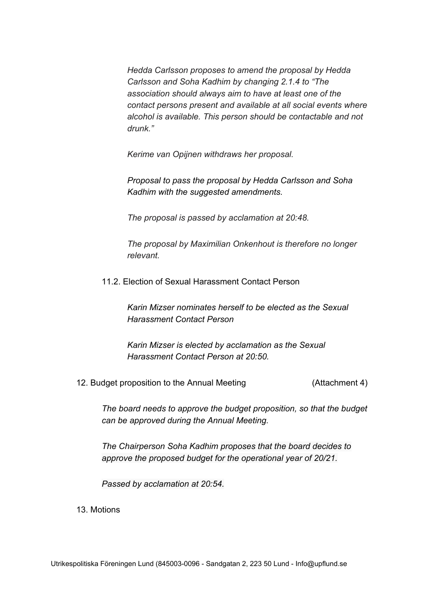*Hedda Carlsson proposes to amend the proposal by Hedda Carlsson and Soha Kadhim by changing 2.1.4 to "The association should always aim to have at least one of the contact persons present and available at all social events where alcohol is available. This person should be contactable and not drunk."*

*Kerime van Opijnen withdraws her proposal.*

*Proposal to pass the proposal by Hedda Carlsson and Soha Kadhim with the suggested amendments.*

*The proposal is passed by acclamation at 20:48.*

*The proposal by Maximilian Onkenhout is therefore no longer relevant.*

11.2. Election of Sexual Harassment Contact Person

*Karin Mizser nominates herself to be elected as the Sexual Harassment Contact Person*

*Karin Mizser is elected by acclamation as the Sexual Harassment Contact Person at 20:50.*

12. Budget proposition to the Annual Meeting (Attachment 4)

*The board needs to approve the budget proposition, so that the budget can be approved during the Annual Meeting.*

*The Chairperson Soha Kadhim proposes that the board decides to approve the proposed budget for the operational year of 20/21.*

*Passed by acclamation at 20:54.*

13. Motions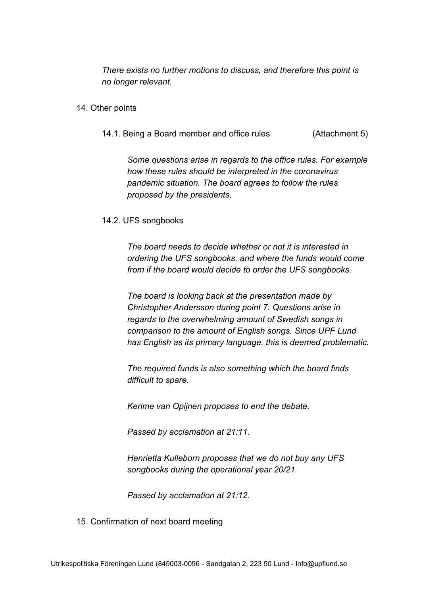*There exists no further motions to discuss, and therefore this point is no longer relevant.*

- 14. Other points
	- 14.1. Being a Board member and office rules (Attachment 5)

*Some questions arise in regards to the office rules. For example how these rules should be interpreted in the coronavirus pandemic situation. The board agrees to follow the rules proposed by the presidents.*

#### 14.2. UFS songbooks

*The board needs to decide whether or not it is interested in ordering the UFS songbooks, and where the funds would come from if the board would decide to order the UFS songbooks.*

*The board is looking back at the presentation made by Christopher Andersson during point 7. Questions arise in regards to the overwhelming amount of Swedish songs in comparison to the amount of English songs. Since UPF Lund has English as its primary language, this is deemed problematic.*

*The required funds is also something which the board finds difficult to spare.*

*Kerime van Opijnen proposes to end the debate.*

*Passed by acclamation at 21:11.*

*Henrietta Kulleborn proposes that we do not buy any UFS songbooks during the operational year 20/21.*

*Passed by acclamation at 21:12.*

15. Confirmation of next board meeting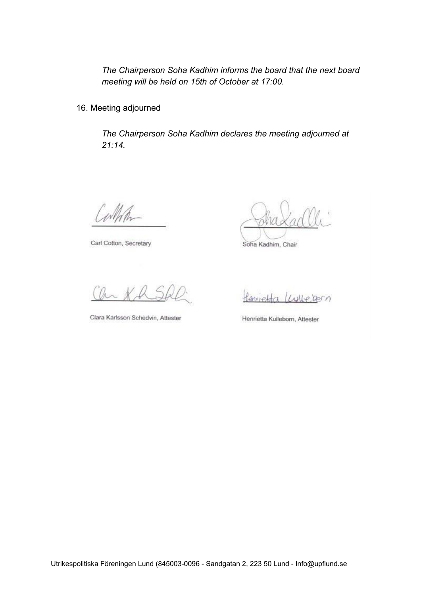*The Chairperson Soha Kadhim informs the board that the next board meeting will be held on 15th of October at 17:00.*

16. Meeting adjourned

*The Chairperson Soha Kadhim declares the meeting adjourned at 21:14.*

wth

Carl Cotton, Secretary

Soha Kadhim, Chair

Clara Karlsson Schedvin, Attester

Henrietta Luiteran

Henrietta Kulleborn, Attester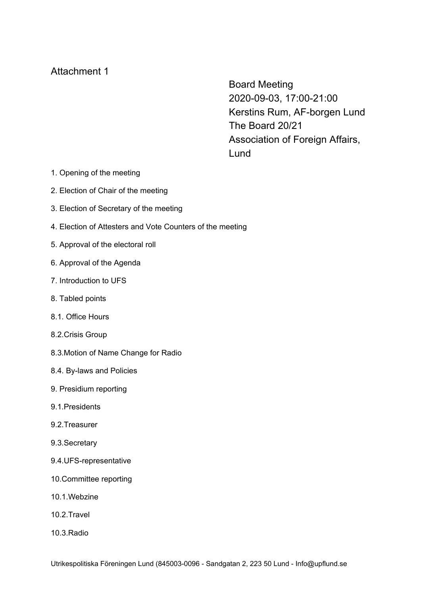Board Meeting 2020-09-03, 17:00-21:00 Kerstins Rum, AF-borgen Lund The Board 20/21 Association of Foreign Affairs, Lund

- 1. Opening of the meeting
- 2. Election of Chair of the meeting
- 3. Election of Secretary of the meeting
- 4. Election of Attesters and Vote Counters of the meeting
- 5. Approval of the electoral roll
- 6. Approval of the Agenda
- 7. Introduction to UFS
- 8. Tabled points
- 8.1. Office Hours
- 8.2.Crisis Group
- 8.3.Motion of Name Change for Radio
- 8.4. By-laws and Policies
- 9. Presidium reporting
- 9.1.Presidents
- 9.2.Treasurer
- 9.3.Secretary
- 9.4.UFS-representative
- 10.Committee reporting
- 10.1.Webzine
- 10.2.Travel
- 10.3.Radio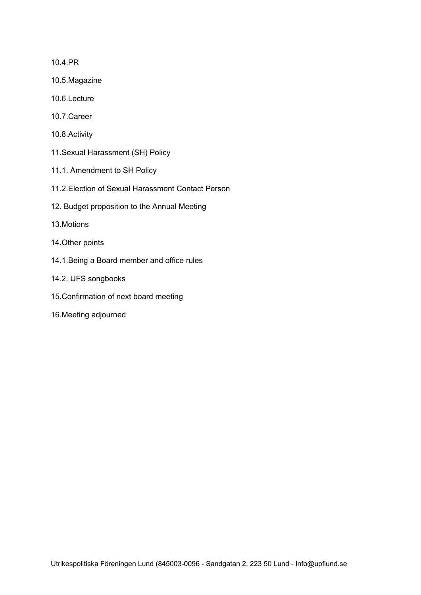10.4.PR

- 10.5.Magazine
- 10.6.Lecture
- 10.7.Career
- 10.8.Activity
- 11.Sexual Harassment (SH) Policy
- 11.1. Amendment to SH Policy
- 11.2.Election of Sexual Harassment Contact Person
- 12. Budget proposition to the Annual Meeting
- 13.Motions
- 14.Other points
- 14.1.Being a Board member and office rules
- 14.2. UFS songbooks
- 15.Confirmation of next board meeting
- 16.Meeting adjourned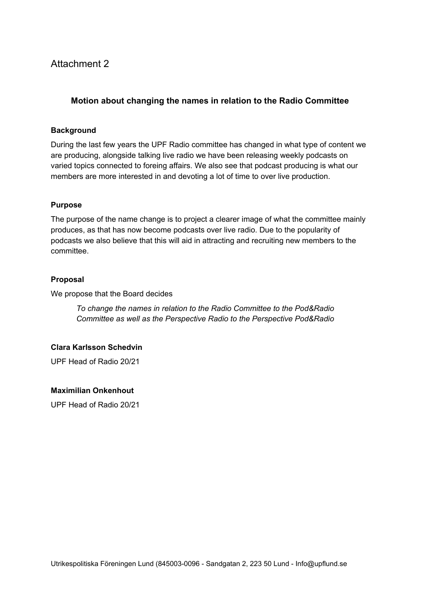# **Motion about changing the names in relation to the Radio Committee**

#### **Background**

During the last few years the UPF Radio committee has changed in what type of content we are producing, alongside talking live radio we have been releasing weekly podcasts on varied topics connected to foreing affairs. We also see that podcast producing is what our members are more interested in and devoting a lot of time to over live production.

#### **Purpose**

The purpose of the name change is to project a clearer image of what the committee mainly produces, as that has now become podcasts over live radio. Due to the popularity of podcasts we also believe that this will aid in attracting and recruiting new members to the committee.

#### **Proposal**

We propose that the Board decides

*To change the names in relation to the Radio Committee to the Pod&Radio Committee as well as the Perspective Radio to the Perspective Pod&Radio*

#### **Clara Karlsson Schedvin**

UPF Head of Radio 20/21

#### **Maximilian Onkenhout**

UPF Head of Radio 20/21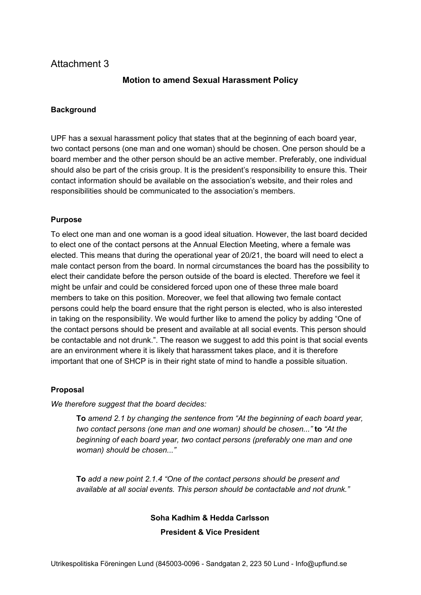# **Motion to amend Sexual Harassment Policy**

#### **Background**

UPF has a sexual harassment policy that states that at the beginning of each board year, two contact persons (one man and one woman) should be chosen. One person should be a board member and the other person should be an active member. Preferably, one individual should also be part of the crisis group. It is the president's responsibility to ensure this. Their contact information should be available on the association's website, and their roles and responsibilities should be communicated to the association's members.

#### **Purpose**

To elect one man and one woman is a good ideal situation. However, the last board decided to elect one of the contact persons at the Annual Election Meeting, where a female was elected. This means that during the operational year of 20/21, the board will need to elect a male contact person from the board. In normal circumstances the board has the possibility to elect their candidate before the person outside of the board is elected. Therefore we feel it might be unfair and could be considered forced upon one of these three male board members to take on this position. Moreover, we feel that allowing two female contact persons could help the board ensure that the right person is elected, who is also interested in taking on the responsibility. We would further like to amend the policy by adding "One of the contact persons should be present and available at all social events. This person should be contactable and not drunk.". The reason we suggest to add this point is that social events are an environment where it is likely that harassment takes place, and it is therefore important that one of SHCP is in their right state of mind to handle a possible situation.

#### **Proposal**

*We therefore suggest that the board decides:*

**To** *amend 2.1 by changing the sentence from "At the beginning of each board year, two contact persons (one man and one woman) should be chosen..."* **to** *"At the beginning of each board year, two contact persons (preferably one man and one woman) should be chosen..."*

**To** *add a new point 2.1.4 "One of the contact persons should be present and available at all social events. This person should be contactable and not drunk."*

# **Soha Kadhim & Hedda Carlsson**

#### **President & Vice President**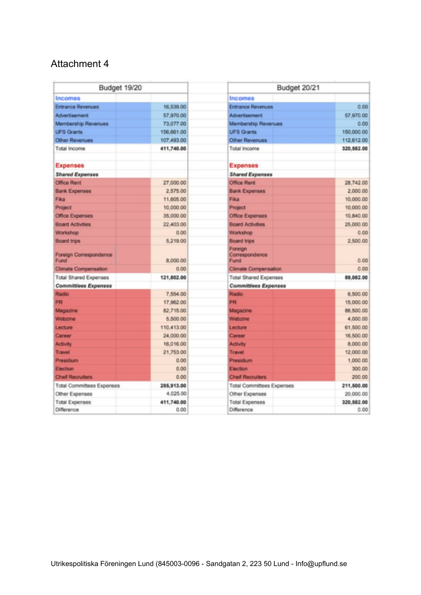| Budget 19/20                   |            | Budget 20/21                      |            |
|--------------------------------|------------|-----------------------------------|------------|
| <b>Incomes</b>                 |            | <b>Incomes</b>                    |            |
| <b>Entrance Revenues</b>       | 16,539.00  | <b>Entrance Revenues</b>          | 0.00       |
| Advertisement                  | 57,970.00  | Advertisement                     | 57,970.00  |
| Membership Revenues            | 73,077.00  | Membership Revenues               | 0.00       |
| <b>UFS Grants</b>              | 156,661.00 | <b>UFS Grants</b>                 | 150,000.00 |
| <b>Other Revenues</b>          | 107,493.00 | Other Revenues                    | 112,612.00 |
| Total Income                   | 411,740.00 | Total Income                      | 320,582.00 |
| <b>Expenses</b>                |            | <b>Expenses</b>                   |            |
| <b>Shared Expenses</b>         |            | <b>Shared Expenses</b>            |            |
| <b>Office Rent</b>             | 27,000.00  | Office Rent                       | 28.742.00  |
| <b>Bank Expenses</b>           | 2,575.00   | <b>Bank Expenses</b>              | 2,000.00   |
| Fika                           | 11,605.00  | Fika                              | 10,000.00  |
| <b>Project</b>                 | 10,000.00  | Project                           | 10,000.00  |
| <b>Office Expenses</b>         | 35,000.00  | Office Expenses                   | 10,840.00  |
| <b>Board Activities</b>        | 22,403.00  | <b>Board Activities</b>           | 25,000.00  |
| Workshop                       | 0.00       | Workshop                          | 0.00       |
| <b>Board trips</b>             | 5,219.00   | <b>Board trips</b>                | 2 500 00   |
| Foreign Correspondence<br>Fund | 8,000.00   | Foreign<br>Correspondence<br>Fund | 0.00       |
| <b>Climate Compensation</b>    | 0.00       | <b>Climate Compensation</b>       | 0.00       |
| <b>Total Shared Expenses</b>   | 121,802.00 | <b>Total Shared Expenses</b>      | 89,082.00  |
| <b>Committiees Expenses</b>    |            | <b>Committiees Expenses</b>       |            |
| Radio                          | 7,554.00   | Radio                             | 6,500.00   |
| <b>PR</b>                      | 17,962.00  | <b>PR</b>                         | 15,000.00  |
| Magazine                       | 82,715.00  | Magazine                          | 86,500.00  |
| Webzine                        | 5,500.00   | Webzine                           | 4.000.00   |
| Lecture                        | 110,413.00 | Lecture                           | 61,500.00  |
| Career                         | 24,000.00  | Career                            | 16,500.00  |
| <b>Activity</b>                | 16,016.00  | <b>Activity</b>                   | 8,000.00   |
| Travel                         | 21,753.00  | <b>Travel</b>                     | 12,000.00  |
| <b>Presidium</b>               | 0.00       | Presidium                         | 1,000.00   |
| Election                       | 0.00       | Election                          | 300.00     |
| <b>Cheif Recruiters</b>        | 0.00       | <b>Cheif Recruiters</b>           | 200.00     |
| Total Committees Expenses      | 285,913.00 | <b>Total Committees Expenses</b>  | 211,500.00 |
| Other Expenses                 | 4.025.00   | Other Expenses                    | 20,000.00  |
| <b>Total Expenses</b>          | 411,740.00 | <b>Total Expenses</b>             | 320,582.00 |
| Difference                     | 0.00       | Difference                        | 0.00       |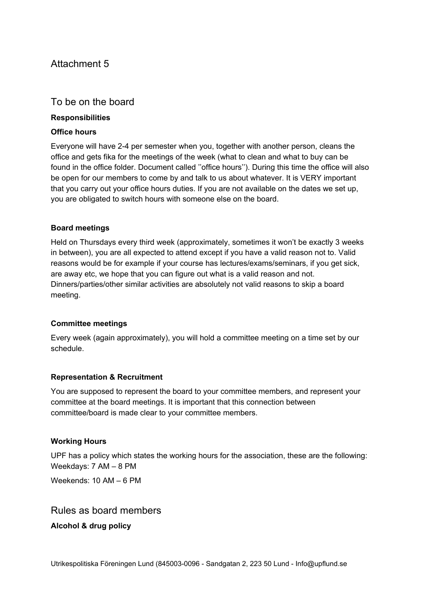# To be on the board

#### **Responsibilities**

#### **Office hours**

Everyone will have 2-4 per semester when you, together with another person, cleans the office and gets fika for the meetings of the week (what to clean and what to buy can be found in the office folder. Document called ''office hours''). During this time the office will also be open for our members to come by and talk to us about whatever. It is VERY important that you carry out your office hours duties. If you are not available on the dates we set up, you are obligated to switch hours with someone else on the board.

#### **Board meetings**

Held on Thursdays every third week (approximately, sometimes it won't be exactly 3 weeks in between), you are all expected to attend except if you have a valid reason not to. Valid reasons would be for example if your course has lectures/exams/seminars, if you get sick, are away etc, we hope that you can figure out what is a valid reason and not. Dinners/parties/other similar activities are absolutely not valid reasons to skip a board meeting.

#### **Committee meetings**

Every week (again approximately), you will hold a committee meeting on a time set by our schedule.

# **Representation & Recruitment**

You are supposed to represent the board to your committee members, and represent your committee at the board meetings. It is important that this connection between committee/board is made clear to your committee members.

#### **Working Hours**

UPF has a policy which states the working hours for the association, these are the following: Weekdays: 7 AM – 8 PM

Weekends: 10 AM – 6 PM

# Rules as board members

**Alcohol & drug policy**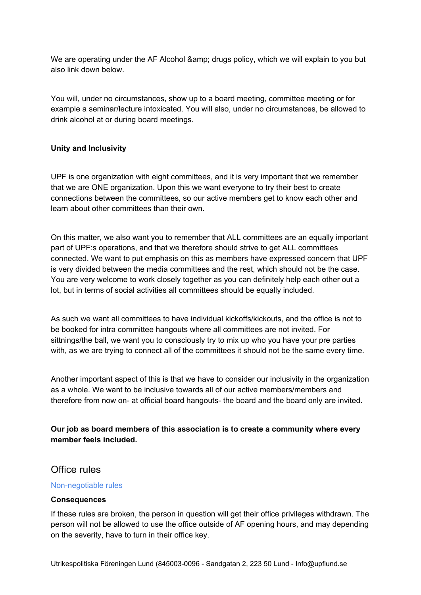We are operating under the AF Alcohol & amp; drugs policy, which we will explain to you but also link down below.

You will, under no circumstances, show up to a board meeting, committee meeting or for example a seminar/lecture intoxicated. You will also, under no circumstances, be allowed to drink alcohol at or during board meetings.

# **Unity and Inclusivity**

UPF is one organization with eight committees, and it is very important that we remember that we are ONE organization. Upon this we want everyone to try their best to create connections between the committees, so our active members get to know each other and learn about other committees than their own.

On this matter, we also want you to remember that ALL committees are an equally important part of UPF:s operations, and that we therefore should strive to get ALL committees connected. We want to put emphasis on this as members have expressed concern that UPF is very divided between the media committees and the rest, which should not be the case. You are very welcome to work closely together as you can definitely help each other out a lot, but in terms of social activities all committees should be equally included.

As such we want all committees to have individual kickoffs/kickouts, and the office is not to be booked for intra committee hangouts where all committees are not invited. For sittnings/the ball, we want you to consciously try to mix up who you have your pre parties with, as we are trying to connect all of the committees it should not be the same every time.

Another important aspect of this is that we have to consider our inclusivity in the organization as a whole. We want to be inclusive towards all of our active members/members and therefore from now on- at official board hangouts- the board and the board only are invited.

# **Our job as board members of this association is to create a community where every member feels included.**

# Office rules

#### Non-negotiable rules

#### **Consequences**

If these rules are broken, the person in question will get their office privileges withdrawn. The person will not be allowed to use the office outside of AF opening hours, and may depending on the severity, have to turn in their office key.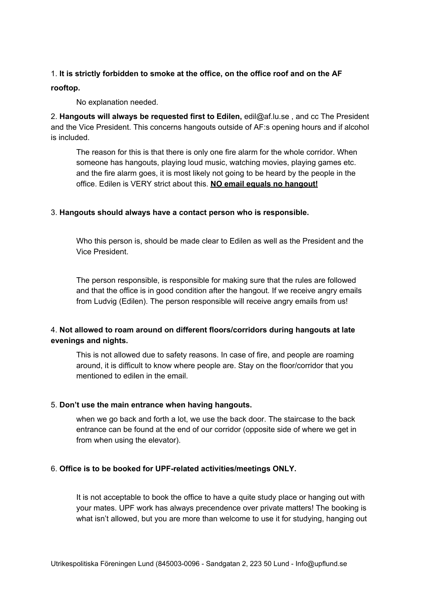#### 1. **It is strictly forbidden to smoke at the office, on the office roof and on the AF**

#### **rooftop.**

No explanation needed.

2. **Hangouts will always be requested first to Edilen,** edil@af.lu.se , and cc The President and the Vice President. This concerns hangouts outside of AF:s opening hours and if alcohol is included.

The reason for this is that there is only one fire alarm for the whole corridor. When someone has hangouts, playing loud music, watching movies, playing games etc. and the fire alarm goes, it is most likely not going to be heard by the people in the office. Edilen is VERY strict about this. **NO email equals no hangout!**

#### 3. **Hangouts should always have a contact person who is responsible.**

Who this person is, should be made clear to Edilen as well as the President and the Vice President.

The person responsible, is responsible for making sure that the rules are followed and that the office is in good condition after the hangout. If we receive angry emails from Ludvig (Edilen). The person responsible will receive angry emails from us!

# 4. **Not allowed to roam around on different floors/corridors during hangouts at late evenings and nights.**

This is not allowed due to safety reasons. In case of fire, and people are roaming around, it is difficult to know where people are. Stay on the floor/corridor that you mentioned to edilen in the email.

#### 5. **Don't use the main entrance when having hangouts.**

when we go back and forth a lot, we use the back door. The staircase to the back entrance can be found at the end of our corridor (opposite side of where we get in from when using the elevator).

# 6. **Office is to be booked for UPF-related activities/meetings ONLY.**

It is not acceptable to book the office to have a quite study place or hanging out with your mates. UPF work has always precendence over private matters! The booking is what isn't allowed, but you are more than welcome to use it for studying, hanging out